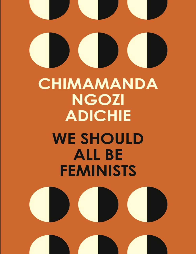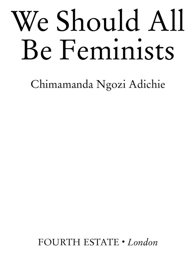# We Should All Be Feminists

Chimamanda Ngozi Adichie

FOURTH ESTATE · London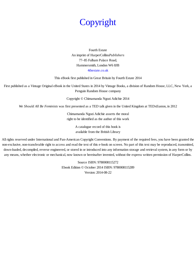

Fourth Estate An imprint of HarperCollins*Publishers* 77–85 Fulham Palace Road, Hammersmith, London W6 8JB [4thestate.co.uk](http://4thestate.co.uk)

This eBook first published in Great Britain by Fourth Estate 2014

<span id="page-2-0"></span>First published as a Vintage Original eBook in the United States in 2014 by Vintage Books, a division of Random House, LLC, New York, a Penguin Random House company

Copyright © Chimamanda Ngozi Adichie 2014

*We Should All Be Feminists* was first presented as a TED talk given in the United Kingdom at TEDxEuston, in 2012

Chimamanda Ngozi Adichie asserts the moral right to be identified as the author of this work

> A catalogue record of this book is available from the British Library

All rights reserved under International and Pan-American Copyright Conventions. By payment of the required fees, you have been granted the non-exclusive, non-transferable right to access and read the text of this e-book on screen. No part of this text may be reproduced, transmitted, down-loaded, decompiled, reverse engineered, or stored in or introduced into any information storage and retrieval system, in any form or by any means, whether electronic or mechanical, now known or hereinafter invented, without the express written permission of HarperCollins.

> Source ISBN: 9780008115272 Ebook Edition © October 2014 ISBN: 9780008115289 Version: 2014-08-22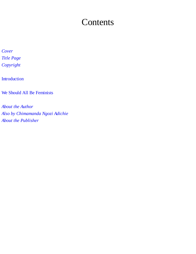## **Contents**

<span id="page-3-0"></span>

| Cover     |  |
|-----------|--|
| $T^*$ . 1 |  |

*Title [Page](#page-1-0) [Copyright](#page-2-0)*

[Introduction](#page-4-0)

We Should All Be [Feminists](#page-5-0)

*About the [Author](#page-17-0) Also by [Chimamanda](#page-18-0) Ngozi Adichie About the [Publisher](#page-19-0)*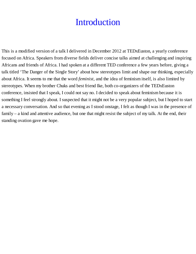### **[Introduction](#page-3-0)**

<span id="page-4-0"></span>This is a modified version of a talk I delivered in December 2012 at TEDxEuston, a yearly conference focused on Africa. Speakers from diverse fields deliver concise talks aimed at challenging and inspiring Africans and friends of Africa. I had spoken at a different TED conference a few years before, giving a talk titled 'The Danger of the Single Story' about how stereotypes limit and shape our thinking, especially about Africa. It seems to me that the word *feminist*, and the idea of feminism itself, is also limited by stereotypes. When my brother Chuks and best friend Ike, both co-organizers of the TEDxEuston conference, insisted that I speak, I could not say no. I decided to speak about feminism because it is something I feel strongly about. I suspected that it might not be a very popular subject, but I hoped to start a necessary conversation. And so that evening as I stood onstage, I felt as though I was in the presence of family – a kind and attentive audience, but one that might resist the subject of my talk. At the end, their standing ovation gave me hope.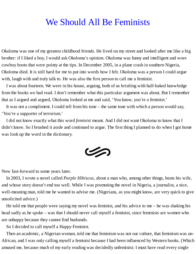### We Should All Be [Feminists](#page-3-0)

<span id="page-5-0"></span>Okoloma was one of my greatest childhood friends. He lived on my street and looked after me like a big brother: if I liked a boy, I would ask Okoloma's opinion. Okoloma was funny and intelligent and wore cowboy boots that were pointy at the tips. In December 2005, in a plane crash in southern Nigeria, Okoloma died. It is still hard for me to put into words how I felt. Okoloma was a person I could argue with, laugh with and truly talk to. He was also the first person to call me a feminist.

I was about fourteen. We were in his house, arguing, both of us bristling with half-baked knowledge from the books we had read. I don't remember what this particular argument was about. But I remember that as I argued and argued, Okoloma looked at me and said, 'You know, you're a feminist.'

It was not a compliment. I could tell from his tone – the same tone with which a person would say, 'You're a supporter of terrorism.'

I did not know exactly what this word *feminist* meant. And I did not want Okoloma to know that I didn't know. So I brushed it aside and continued to argue. The first thing I planned to do when I got home was look up the word in the dictionary.



Now fast-forward to some years later.

In 2003, I wrote a novel called *Purple Hibiscus*, about a man who, among other things, beats his wife, and whose story doesn't end too well. While I was promoting the novel in Nigeria, a journalist, a nice, well-meaning man, told me he wanted to advise me. (Nigerians, as you might know, are very quick to give unsolicited *advice*.)

He told me that people were saying my novel was feminist, and his advice to me – he was shaking his head sadly as he spoke – was that I should never call myself a feminist, since feminists are women who are unhappy because they cannot find husbands.

So I decided to call myself a Happy Feminist.

Then an academic, a Nigerian woman, told me that feminism was not our culture, that feminism was un-African, and I was only calling myself a feminist because I had been influenced by Western books. (Which amused me, because much of my early reading was decidedly unfeminist: I must have read every single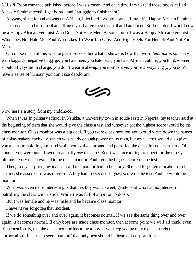Mills & Boon romance published before I was sixteen. And each time I try to read those books called 'classic feminist texts', I get bored, and I struggle to finish them.)

Anyway, since feminism was un-African, I decided I would now call myself a Happy African Feminist. Then a dear friend told me that calling myself a feminist meant that I hated men. So I decided I would now be a Happy African Feminist Who Does Not Hate Men. At some point I was a Happy African Feminist Who Does Not Hate Men And Who Likes To Wear Lip Gloss And High Heels For Herself And Not For Men.

Of course much of this was tongue-in-cheek, but what it shows is how that word *feminist* is so heavy with baggage, negative baggage: you hate men, you hate bras, you hate African culture, you think women should always be in charge, you don't wear make-up, you don't shave, you're always angry, you don't have a sense of humour, you don't use deodorant.

ڪ

Now here's a story from my childhood.

When I was in primary school in Nsukka, a university town in south-eastern Nigeria, my teacher said at the beginning of term that she would give the class a test and whoever got the highest score would be the class monitor. Class monitor was a big deal. If you were class monitor, you would write down the names of noise-makers each day, which was heady enough power on its own, but my teacher would also give you a cane to hold in your hand while you walked around and patrolled the class for noise-makers. Of course, you were not allowed to actually *use* the cane. But it was an exciting prospect for the nine-yearold me. I very much wanted to be class monitor. And I got the highest score on the test.

Then, to my surprise, my teacher said the monitor had to be a boy. She had forgotten to make that clear earlier; she assumed it was obvious. A boy had the second-highest score on the test. And *he* would be monitor.

What was even more interesting is that this boy was a sweet, gentle soul who had no interest in patrolling the class with a stick. While *I* was full of ambition to do so.

But I was female and he was male and he became class monitor.

I have never forgotten that incident.

If we do something over and over again, it becomes normal. If we see the same thing over and over again, it becomes normal. If only boys are made class monitor, then at some point we will all think, even if unconsciously, that the class monitor has to be a boy. If we keep seeing only men as heads of corporations, it starts to seem 'natural' that only men should be heads of corporations.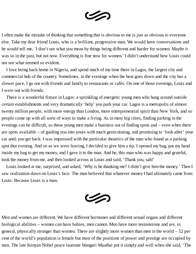

I often make the mistake of thinking that something that is obvious to me is just as obvious to everyone else. Take my dear friend Louis, who is a brilliant, progressive man. We would have conversations and he would tell me, 'I don't see what you mean by things being different and harder for women. Maybe it was so in the past, but not now. Everything is fine now for women.' I didn't understand how Louis could not see what seemed so evident.

I love being back home in Nigeria, and spend much of my time there in Lagos, the largest city and commercial hub of the country. Sometimes, in the evenings when the heat goes down and the city has a slower pace, I go out with friends and family to restaurants or cafés. On one of those evenings, Louis and I were out with friends.

There is a wonderful fixture in Lagos: a sprinkling of energetic young men who hang around outside certain establishments and very dramatically 'help' you park your car. Lagos is a metropolis of almost twenty million people, with more energy than London, more entrepreneurial spirit than New York, and so people come up with all sorts of ways to make a living. As in most big cities, finding parking in the evenings can be difficult, so these young men make a business out of finding spots and – even when there are spots available – of guiding you into yours with much gesticulating, and promising to 'look after' your car until you get back. I was impressed with the particular theatrics of the man who found us a parking spot that evening. And so as we were leaving, I decided to give him a tip. I opened my bag, put my hand inside my bag to get my money, and I gave it to the man. And he, this man who was happy and grateful, took the money from me, and then looked across at Louis and said, 'Thank you, sah!'

Louis looked at me, surprised, and asked, 'Why is he thanking me? I didn't give him the money.' Then I saw realization dawn on Louis's face. The man believed that whatever money I had ultimately came from Louis. Because Louis is a man.



Men and women are different. We have different hormones and different sexual organs and different biological abilities – women can have babies, men cannot. Men have more testosterone and are, in general, physically stronger than women. There are slightly more women than men in the world – 52 per cent of the world's population is female but most of the positions of power and prestige are occupied by men. The late Kenyan Nobel peace laureate Wangari Maathai put it simply and well when she said, 'The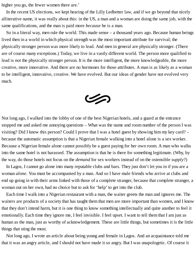higher you go, the fewer women there are.'

In the recent US elections, we kept hearing of the Lilly Ledbetter law, and if we go beyond that nicely alliterative name, it was really about this: in the US, a man and a woman are doing the same job, with the same qualifications, and the man is paid more *because* he is a man.

So in a literal way, men rule the world. This made sense – a thousand years ago. Because human beings lived then in a world in which physical strength was the most important attribute for survival; the physically stronger person was more likely to lead. And men in general are physically stronger. (There are of course many exceptions.) Today, we live in a vastly different world. The person more qualified to lead is *not* the physically stronger person. It is the more intelligent, the more knowledgeable, the more creative, more innovative. And there are no hormones for those attributes. A man is as likely as a woman to be intelligent, innovative, creative. We have evolved. But our ideas of gender have not evolved very much.

دست

Not long ago, I walked into the lobby of one of the best Nigerian hotels, and a guard at the entrance stopped me and asked me annoying questions – What was the name and room number of the person I was visiting? Did I know this person? Could I prove that I was a hotel guest by showing him my key card? – because the automatic assumption is that a Nigerian female walking into a hotel alone is a sex worker. Because a Nigerian female alone cannot possibly be a guest paying for her own room. A man who walks into the same hotel is not harassed. The assumption is that he is there for something legitimate. (Why, by the way, do those hotels not focus on the *demand* for sex workers instead of on the ostensible *supply*?)

In Lagos, I cannot go alone into many reputable clubs and bars. They just don't let you in if you are a woman *alone*. You must be accompanied by a man. And so I have male friends who arrive at clubs and end up going in with their arms linked with those of a complete stranger, because that complete stranger, a woman out on her own, had no choice but to ask for 'help' to get into the club.

Each time I walk into a Nigerian restaurant with a man, the waiter greets the man and ignores me. The waiters are products of a society that has taught them that men are more important than women, and I know that they don't intend harm, but it is one thing to know something intellectually and quite another to feel it emotionally. Each time they ignore me, I feel invisible. I feel upset. I want to tell them that I am just as human as the man, just as worthy of acknowledgement. These are little things, but sometimes it is the little things that sting the most.

Not long ago, I wrote an article about being young and female in Lagos. And an acquaintance told me that it was an angry article, and I should not have made it so angry. But I was unapologetic. Of course it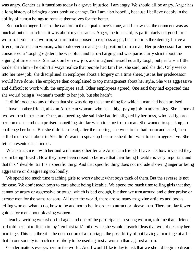was angry. Gender as it functions today is a grave injustice. I am angry. We should all be angry. Anger has a long history of bringing about positive change. But I am also hopeful, because I believe deeply in the ability of human beings to remake themselves for the better.

But back to anger. I heard the caution in the acquaintance's tone, and I knew that the comment was as much about the article as it was about my character. Anger, the tone said, is particularly not good for a woman. If you are a woman, you are not supposed to express anger, because it is threatening. I have a friend, an American woman, who took over a managerial position from a man. Her predecessor had been considered a 'tough go-getter'; he was blunt and hard-charging and was particularly strict about the signing of time sheets. She took on her new job, and imagined herself equally tough, but perhaps a little kinder than him – he didn't always realize that people had families, she said, and she did. Only weeks into her new job, she disciplined an employee about a forgery on a time sheet, just as her predecessor would have done. The employee then complained to top management about her style. She was aggressive and difficult to work with, the employee said. Other employees agreed. One said they had expected that she would bring a 'woman's touch' to her job, but she hadn't.

It didn't occur to any of them that she was doing the same thing for which a man had been praised.

I have another friend, also an American woman, who has a high-paying job in advertising. She is one of two women in her team. Once, at a meeting, she said she had felt slighted by her boss, who had ignored her comments and then praised something similar when it came from a man. She wanted to speak up, to challenge her boss. But she didn't. Instead, after the meeting, she went to the bathroom and cried, then called me to vent about it. She didn't want to speak up because she didn't want to seem aggressive. She let her resentments simmer.

What struck me – with her and with many other female American friends I have – is how invested they are in being 'liked'. How they have been raised to believe that their being likeable is very important and that this 'likeable' trait is a specific thing. And that specific thing does not include showing anger or being aggressive or disagreeing too loudly.

We spend too much time teaching girls to worry about what boys think of them. But the reverse is not the case. We don't teach boys to care about being likeable. We spend too much time telling girls that they cannot be angry or aggressive or tough, which is bad enough, but then we turn around and either praise or excuse men for the same reasons. All over the world, there are so many magazine articles and books telling women what to do, how to be and not to be, in order to attract or please men. There are far fewer guides for men about pleasing women.

I teach a writing workshop in Lagos and one of the participants, a young woman, told me that a friend had told her not to listen to my 'feminist talk'; otherwise she would absorb ideas that would destroy her marriage. This is a threat – the destruction of a marriage, the possibility of not having a marriage at all – that in our society is much more likely to be used against a woman than against a man.

Gender matters everywhere in the world. And I would like today to ask that we should begin to dream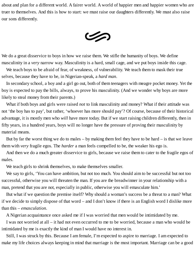about and plan for a different world. A fairer world. A world of happier men and happier women who are truer to themselves. And this is how to start: we must raise our daughters differently. We must also raise our sons differently.

≪

We do a great disservice to boys in how we raise them. We stifle the humanity of boys. We define masculinity in a *very* narrow way. Masculinity is a hard, small cage, and we put boys inside this cage.

We teach boys to be afraid of fear, of weakness, of vulnerability. We teach them to mask their true selves, because they have to be, in Nigerian-speak, a *hard man*.

In secondary school, a boy and a girl go out, both of them teenagers with meagre pocket money. Yet the boy is expected to pay the bills, always, to prove his masculinity. (And we wonder why boys are more likely to steal money from their parents.)

What if both boys and girls were raised *not* to link masculinity and money? What if their attitude was not 'the boy has to pay', but rather, 'whoever has more should pay'? Of course, because of their historical advantage, it is mostly men who *will* have more today. But if we start raising children differently, then in fifty years, in a hundred years, boys will no longer have the pressure of proving their masculinity by material means.

But by far the worst thing we do to males  $-$  by making them feel they have to be hard  $-$  is that we leave them with *very* fragile egos. The *harder* a man feels compelled to be, the weaker his ego is.

And then we do a much greater disservice to girls, because we raise them to cater to the fragile egos of males.

We teach girls to shrink themselves, to make themselves smaller.

We say to girls, 'You can have ambition, but not too much. You should aim to be successful but not too successful, otherwise you will threaten the man. If you are the breadwinner in your relationship with a man, pretend that you are not, especially in public, otherwise you will emasculate him.'

But what if we question the premise itself? Why should a woman's success be a threat to a man? What if we decide to simply dispose of that word – and I don't know if there is an English word I dislike more than this – *emasculation*.

A Nigerian acquaintance once asked me if I was worried that men would be intimidated by me.

I was not worried at all – it had not even occurred to me to be worried, because a man who would be intimidated by me is exactly the kind of man I would have no interest in.

Still, I was struck by this. Because I am female, I'm expected to aspire to marriage. I am expected to make my life choices always keeping in mind that marriage is the most important. Marriage can be a good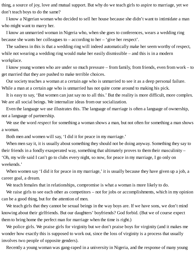thing, a source of joy, love and mutual support. But why do we teach girls to aspire to marriage, yet we don't teach boys to do the same?

I know a Nigerian woman who decided to sell her house because she didn't want to intimidate a man who might want to marry her.

I know an unmarried woman in Nigeria who, when she goes to conferences, wears a wedding ring because she wants her colleagues to  $-$  according to her  $-$  'give her respect'.

The sadness in this is that a wedding ring will indeed automatically make her seem worthy of respect, while not wearing a wedding ring would make her easily dismissible – and this is in a modern workplace.

I know young women who are under so much pressure – from family, from friends, even from work – to get married that they are pushed to make terrible choices.

Our society teaches a woman at a certain age who is unmarried to see it as a deep personal failure. While a man at a certain age who is unmarried has not quite come around to making his pick.

It is easy to say, 'But women can just say no to all this.' But the reality is more difficult, more complex. We are all social beings. We internalize ideas from our socialization.

Even the language we use illustrates this. The language of marriage is often a language of ownership, not a language of partnership.

We use the word *respect* for something a woman shows a man, but not often for something a man shows a woman.

Both men and women will say, 'I did it for peace in my marriage.'

When men say it, it is usually about something they should not be doing anyway. Something they say to their friends in a fondly exasperated way, something that ultimately proves to them their masculinity – 'Oh, my wife said I can't go to clubs every night, so now, for peace in my marriage, I go only on weekends.'

When women say 'I did it for peace in my marriage,' it is usually because they have given up a job, a career goal, a dream.

We teach females that in relationships, compromise is what a woman is more likely to do.

We raise girls to see each other as competitors – not for jobs or accomplishments, which in my opinion can be a good thing, but for the attention of men.

We teach girls that they cannot be sexual beings in the way boys are. If we have sons, we don't mind knowing about their girlfriends. But our daughters' boyfriends? God forbid. (But we of course expect them to bring home the perfect man for marriage when the time is right.)

We police girls. We praise girls for virginity but we don't praise boys for virginity (and it makes me wonder how exactly this is supposed to work out, since the loss of virginity is a process that usually involves two people of opposite genders).

Recently a young woman was gang-raped in a university in Nigeria, and the response of many young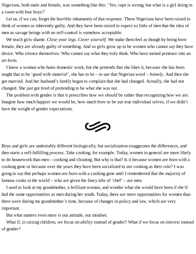Nigerians, both male and female, was something like this: 'Yes, rape is wrong, but what is a girl doing in a room with four boys?'

Let us, if we can, forget the horrible inhumanity of that response. These Nigerians have been raised to think of women as inherently guilty. And they have been raised to expect so little of men that the idea of men as savage beings with no self-control is somehow acceptable.

We teach girls shame. *Close your legs. Cover yourself*. We make them feel as though by being born female, they are already guilty of something. And so girls grow up to be women who cannot say they have desire. Who silence themselves. Who cannot say what they truly think. Who have turned pretence into an art form.

I know a woman who hates domestic work, but she pretends that she likes it, because she has been taught that to be 'good wife material', she has to be – to use that Nigerian word – *homely*. And then she got married. And her husband's family began to complain that she had changed. Actually, she had not changed. She just got tired of pretending to be what she was not.

The problem with gender is that it prescribes how we *should* be rather than recognizing how we are. Imagine how much happier we would be, how much freer to be our true individual selves, if we didn't have the weight of gender expectations.

≪

Boys and girls are undeniably different biologically, but socialization exaggerates the differences, and then starts a self-fulfilling process. Take cooking, for example. Today, women in general are more likely to do housework than men – cooking and cleaning. But why is that? Is it because women are born with a cooking gene or because over the years they have been socialized to see cooking as their role? I was going to say that perhaps women *are* born with a cooking gene until I remembered that the majority of famous cooks in the world – who are given the fancy title of 'chef' – are men.

I used to look at my grandmother, a brilliant woman, and wonder what she would have been if she'd had the same opportunities as men during her youth. Today, there are more opportunities for women than there were during my grandmother's time, because of changes in policy and law, which are very important.

But what matters even more is our attitude, our mindset.

What if, in raising children, we focus on *ability* instead of gender? What if we focus on *interest* instead of gender?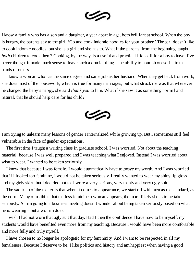I know a family who has a son and a daughter, a year apart in age, both brilliant at school. When the boy is hungry, the parents say to the girl, 'Go and cook Indomie noodles for your brother.' The girl doesn't like to cook Indomie noodles, but she is a girl and she has to. What if the parents, from the beginning, taught *both* children to cook them? Cooking, by the way, is a useful and practical life skill for a boy to have. I've never thought it made much sense to leave such a crucial thing – the ability to nourish oneself – in the hands of others.

I know a woman who has the same degree and same job as her husband. When they get back from work, she does most of the housework, which is true for many marriages, but what struck me was that whenever he changed the baby's nappy, she said *thank you* to him. What if she saw it as something normal and natural, that he should help care for his child?



I am trying to unlearn many lessons of gender I internalized while growing up. But I sometimes still feel vulnerable in the face of gender expectations.

The first time I taught a writing class in graduate school, I was worried. Not about the teaching material, because I was well prepared and I was teaching what I enjoyed. Instead I was worried about what to wear. I wanted to be taken seriously.

I knew that because I was female, I would automatically have to *prove* my worth. And I was worried that if I looked too feminine, I would not be taken seriously. I really wanted to wear my shiny lip gloss and my girly skirt, but I decided not to. I wore a very serious, very manly and very ugly suit.

The sad truth of the matter is that when it comes to appearance, we start off with men as the standard, as the norm. Many of us think that the less feminine a woman appears, the more likely she is to be taken seriously. A man going to a business meeting doesn't wonder about being taken seriously based on what he is wearing – but a woman does.

I wish I had not worn that ugly suit that day. Had I then the confidence I have now to be myself, my students would have benefited even more from my teaching. Because I would have been more comfortable and more fully and truly myself.

I have chosen to no longer be apologetic for my femininity. And I want to be respected in all my femaleness. Because I deserve to be. I like politics and history and am happiest when having a good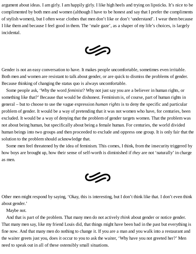argument about ideas. I am girly. I am happily girly. I like high heels and trying on lipsticks. It's nice to be complimented by both men and women (although I have to be honest and say that I prefer the compliments of stylish women), but I often wear clothes that men don't like or don't 'understand'. I wear them because I like them and because I feel good in them. The 'male gaze', as a shaper of my life's choices, is largely incidental.

دست

Gender is not an easy conversation to have. It makes people uncomfortable, sometimes even irritable. Both men and women are resistant to talk about gender, or are quick to dismiss the problems of gender. Because thinking of changing the status quo is always uncomfortable.

Some people ask, 'Why the word *feminist*? Why not just say you are a believer in human rights, or something like that?' Because that would be dishonest. Feminism is, of course, part of human rights in general – but to choose to use the vague expression *human rights* is to deny the specific and particular problem of gender. It would be a way of pretending that it was not women who have, for centuries, been excluded. It would be a way of denying that the problem of gender targets women. That the problem was not about being human, but specifically about being a female human. For centuries, the world divided human beings into two groups and then proceeded to exclude and oppress one group. It is only fair that the solution to the problem should acknowledge that.

Some men feel threatened by the idea of feminism. This comes, I think, from the insecurity triggered by how boys are brought up, how their sense of self-worth is diminished if *they* are not 'naturally' in charge as men.

دست

Other men might respond by saying, 'Okay, this is interesting, but I don't think like that. I don't even think about gender.'

Maybe not.

And that is part of the problem. That many men do not actively *think* about gender or notice gender. That many men say, like my friend Louis did, that things might have been bad in the past but everything is fine now. And that many men do nothing to change it. If you are a man and you walk into a restaurant and the waiter greets just you, does it occur to you to ask the waiter, 'Why have you not greeted her?' Men need to speak out in all of these ostensibly small situations.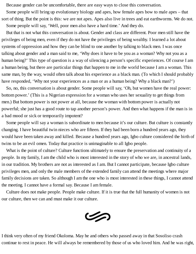Because gender can be uncomfortable, there are easy ways to close this conversation.

Some people will bring up evolutionary biology and apes, how female apes bow to male apes – that sort of thing. But the point is this: we are not apes. Apes also live in trees and eat earthworms. We do not. Some people will say, 'Well, poor men also have a hard time.' And they do.

But that is not what this conversation is about. Gender and class are different. Poor men still have the privileges of being men, even if they do not have the privileges of being wealthy. I learned a lot about systems of oppression and how they can be blind to one another by talking to black men. I was once talking about gender and a man said to me, 'Why does it have to be you as a woman? Why not you as a human being?' This type of question is a way of silencing a person's specific experiences. Of course I am a human being, but there are particular things that happen to me in the world because I am a woman. This same man, by the way, would often talk about his experience as a black man. (To which I should probably have responded, 'Why not your experiences as a man or as a human being? Why a black man?')

So, no, this conversation is about gender. Some people will say, 'Oh, but women have the real power: bottom power.' (This is a Nigerian expression for a woman who uses her sexuality to get things from men.) But bottom power is not power at all, because the woman with bottom power is actually not powerful; she just has a good route to tap another person's power. And then what happens if the man is in a bad mood or sick or temporarily impotent?

Some people will say a woman is subordinate to men because it's our culture. But culture is constantly changing. I have beautiful twin nieces who are fifteen. If they had been born a hundred years ago, they would have been taken away and killed. Because a hundred years ago, Igbo culture considered the birth of twins to be an evil omen. Today that practice is unimaginable to all Igbo people.

What is the point of culture? Culture functions ultimately to ensure the preservation and continuity of a people. In my family, I am the child who is most interested in the story of who we are, in ancestral lands, in our tradition. My brothers are not as interested as I am. But I cannot participate, because Igbo culture privileges men, and only the male members of the extended family can attend the meetings where major family decisions are taken. So although I am the one who is most interested in these things, I cannot attend the meeting. I cannot have a formal say. Because I am female.

Culture does not make people. People make culture. If it is true that the full humanity of women is not our culture, then we can and must make it our culture.

≪

I think very often of my friend Okoloma. May he and others who passed away in that Sosoliso crash continue to rest in peace. He will always be remembered by those of us who loved him. And he was right,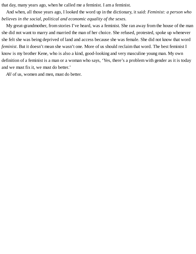that day, many years ago, when he called me a feminist. I am a feminist.

And when, all those years ago, I looked the word up in the dictionary, it said: *Feminist: a person who believes in the social, political and economic equality of the sexes.*

My great-grandmother, from stories I've heard, was a feminist. She ran away from the house of the man she did not want to marry and married the man of her choice. She refused, protested, spoke up whenever she felt she was being deprived of land and access because she was female. She did not know that word *feminist*. But it doesn't mean she wasn't one. More of us should reclaim that word. The best feminist I know is my brother Kene, who is also a kind, good-looking and very masculine young man. My own definition of a feminist is a man or a woman who says, 'Yes, there's a problem with gender as it is today and we must fix it, we must do better.'

*All* of us, women and men, must do better.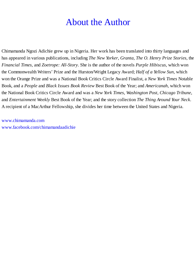### About the [Author](#page-3-0)

<span id="page-17-0"></span>Chimamanda Ngozi Adichie grew up in Nigeria. Her work has been translated into thirty languages and has appeared in various publications, including *The New Yorker*, *Granta*, *The O. Henry Prize Stories*, the *Financial Times*, and *Zoetrope: All-Story*. She is the author of the novels *Purple Hibiscus*, which won the Commonwealth Writers' Prize and the Hurston/Wright Legacy Award; *Half of a Yellow Sun*, which won the Orange Prize and was a National Book Critics Circle Award Finalist, a *New York Times* Notable Book, and a *People* and *Black Issues Book Review* Best Book of the Year; and *Americanah*, which won the National Book Critics Circle Award and was a *New York Times*, *Washington Post*, *Chicago Tribune*, and *Entertainment Weekly* Best Book of the Year; and the story collection *The Thing Around Your Neck*. A recipient of a MacArthur Fellowship, she divides her time between the United States and Nigeria.

[www.chimamanda.com](http://www.chimamanda.com) [www.facebook.com/chimamandaadichie](http://www.facebook.com/chimamandaadichie)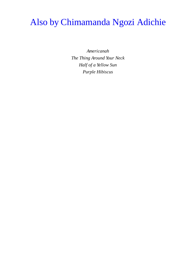# <span id="page-18-0"></span>Also by [Chimamanda](#page-3-0) Ngozi Adichie

*Americanah The Thing Around Your Neck Half of a Yellow Sun Purple Hibiscus*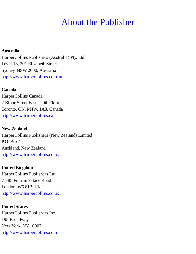## About the [Publisher](#page-3-0)

#### <span id="page-19-0"></span>**Australia**

HarperCollins Publishers (Australia) Pty. Ltd. Level 13, 201 Elizabeth Street Sydney, NSW 2000, Australia <http://www.harpercollins.com.au>

#### **Canada**

HarperCollins Canada 2 Bloor Street East - 20th Floor Toronto, ON, M4W, 1A8, Canada <http://www.harpercollins.ca>

**New Zealand** HarperCollins Publishers (New Zealand) Limited P.O. Box 1 Auckland, New Zealand <http://www.harpercollins.co.nz>

**United Kingdom** HarperCollins Publishers Ltd. 77-85 Fulham Palace Road London, W6 8JB, UK <http://www.harpercollins.co.uk>

**United States** HarperCollins Publishers Inc. 195 Broadway New York, NY 10007 <http://www.harpercollins.com>